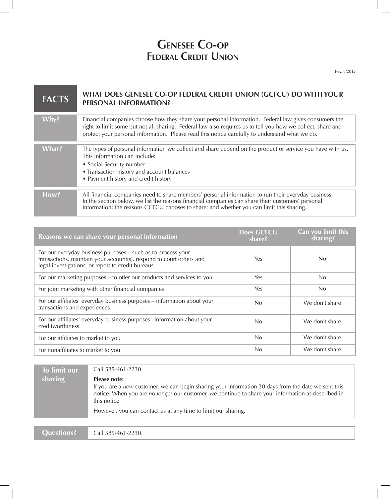## **Genesee Co-op Federal Credit Union**

Rev. 6/2012

| <b>FACTS</b> | WHAT DOES GENESEE CO-OP FEDERAL CREDIT UNION (GCFCU) DO WITH YOUR<br><b>PERSONAL INFORMATION?</b>                                                                                                                                                                                                                     |
|--------------|-----------------------------------------------------------------------------------------------------------------------------------------------------------------------------------------------------------------------------------------------------------------------------------------------------------------------|
| Why?         | Financial companies choose how they share your personal information. Federal law gives consumers the<br>right to limit some but not all sharing. Federal law also requires us to tell you how we collect, share and<br>protect your personal information. Please read this notice carefully to understand what we do. |
| What?        | The types of personal information we collect and share depend on the product or service you have with us.<br>This information can include:<br>• Social Security number<br>• Transaction history and account balances<br>• Payment history and credit history                                                          |
| How?         | All financial companies need to share members' personal information to run their everyday business.<br>In the section below, we list the reasons financial companies can share their customers' personal<br>information; the reasons GCFCU chooses to share; and whether you can limit this sharing.                  |

| Reasons we can share your personal information                                                                                                                                           | <b>Does GCFCU</b><br>share? | Can you limit this<br>sharing? |
|------------------------------------------------------------------------------------------------------------------------------------------------------------------------------------------|-----------------------------|--------------------------------|
| For our everyday business purposes – such as to process your<br>transactions, maintain your account(s), respond to court orders and<br>legal investigations, or report to credit bureaus | Yes                         | No                             |
| For our marketing purposes – to offer our products and services to you                                                                                                                   | Yes                         | No                             |
| For joint marketing with other financial companies                                                                                                                                       | Yes                         | No                             |
| For our affiliates' everyday business purposes - information about your<br>transactions and experiences                                                                                  | N <sub>0</sub>              | We don't share                 |
| For our affiliates' everyday business purposes- information about your<br>creditworthiness                                                                                               | No.                         | We don't share                 |
| For our affiliates to market to you                                                                                                                                                      | No                          | We don't share                 |
| For nonaffiliates to market to you                                                                                                                                                       | N <sub>0</sub>              | We don't share                 |

| To limit our      | Call 585-461-2230.                                                                                                                                                                                                                        |
|-------------------|-------------------------------------------------------------------------------------------------------------------------------------------------------------------------------------------------------------------------------------------|
| sharing           | Please note:<br>If you are a new customer, we can begin sharing your information 30 days from the date we sent this<br>notice. When you are no longer our customer, we continue to share your information as described in<br>this notice. |
|                   | However, you can contact us at any time to limit our sharing.                                                                                                                                                                             |
|                   |                                                                                                                                                                                                                                           |
| <b>Ouestions?</b> | Call 585-461-2230.                                                                                                                                                                                                                        |

**Questions?**